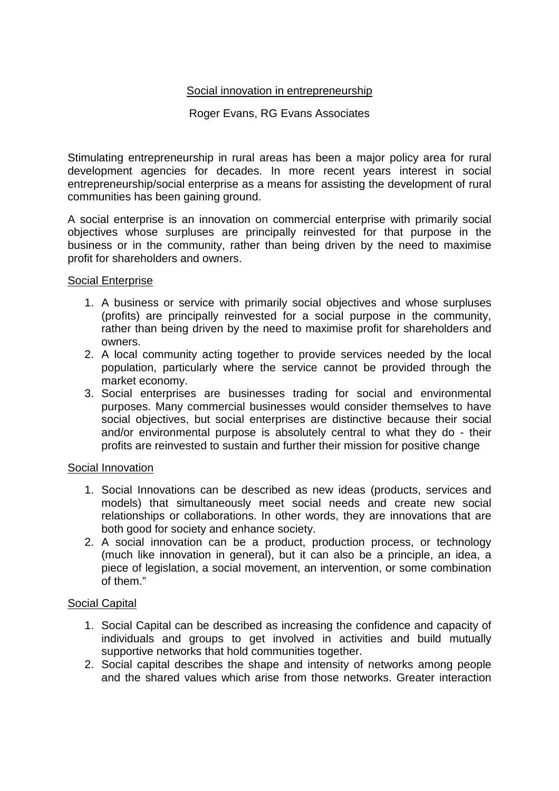# Social innovation in entrepreneurship

# Roger Evans, RG Evans Associates

Stimulating entrepreneurship in rural areas has been a major policy area for rural development agencies for decades. In more recent years interest in social entrepreneurship/social enterprise as a means for assisting the development of rural communities has been gaining ground.

A social enterprise is an innovation on commercial enterprise with primarily social objectives whose surpluses are principally reinvested for that purpose in the business or in the community, rather than being driven by the need to maximise profit for shareholders and owners.

### Social Enterprise

- 1. A business or service with primarily social objectives and whose surpluses (profits) are principally reinvested for a social purpose in the community, rather than being driven by the need to maximise profit for shareholders and owners.
- 2. A local community acting together to provide services needed by the local population, particularly where the service cannot be provided through the market economy.
- 3. Social enterprises are businesses trading for social and environmental purposes. Many commercial businesses would consider themselves to have social objectives, but social enterprises are distinctive because their social and/or environmental purpose is absolutely central to what they do - their profits are reinvested to sustain and further their mission for positive change

# Social Innovation

- 1. Social Innovations can be described as new ideas (products, services and models) that simultaneously meet social needs and create new social relationships or collaborations. In other words, they are innovations that are both good for society and enhance society.
- 2. A social innovation can be a product, production process, or technology (much like innovation in general), but it can also be a principle, an idea, a piece of legislation, a social movement, an intervention, or some combination of them."

# Social Capital

- 1. Social Capital can be described as increasing the confidence and capacity of individuals and groups to get involved in activities and build mutually supportive networks that hold communities together.
- 2. Social capital describes the shape and intensity of networks among people and the shared values which arise from those networks. Greater interaction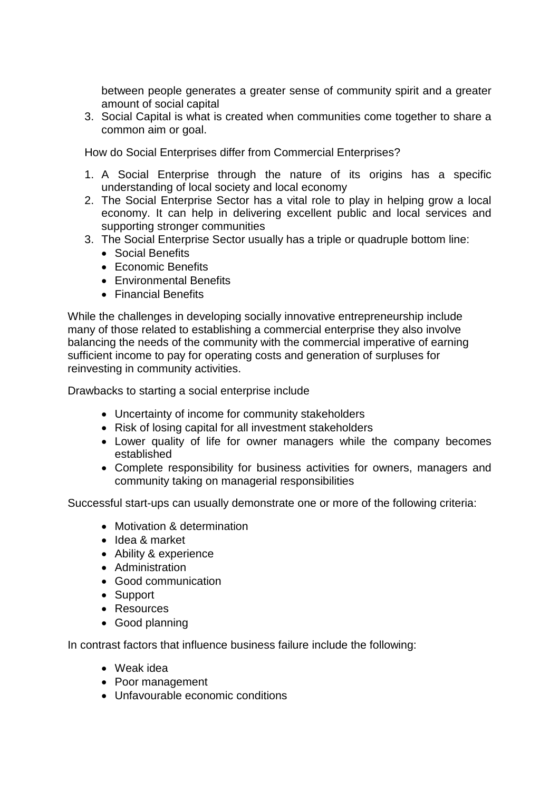between people generates a greater sense of community spirit and a greater amount of social capital

3. Social Capital is what is created when communities come together to share a common aim or goal.

How do Social Enterprises differ from Commercial Enterprises?

- 1. A Social Enterprise through the nature of its origins has a specific understanding of local society and local economy
- 2. The Social Enterprise Sector has a vital role to play in helping grow a local economy. It can help in delivering excellent public and local services and supporting stronger communities
- 3. The Social Enterprise Sector usually has a triple or quadruple bottom line:
	- Social Benefits
	- Economic Benefits
	- Environmental Benefits
	- Financial Benefits

While the challenges in developing socially innovative entrepreneurship include many of those related to establishing a commercial enterprise they also involve balancing the needs of the community with the commercial imperative of earning sufficient income to pay for operating costs and generation of surpluses for reinvesting in community activities.

Drawbacks to starting a social enterprise include

- Uncertainty of income for community stakeholders
- Risk of losing capital for all investment stakeholders
- Lower quality of life for owner managers while the company becomes established
- Complete responsibility for business activities for owners, managers and community taking on managerial responsibilities

Successful start-ups can usually demonstrate one or more of the following criteria:

- Motivation & determination
- Idea & market
- Ability & experience
- Administration
- Good communication
- Support
- Resources
- Good planning

In contrast factors that influence business failure include the following:

- Weak idea
- Poor management
- Unfavourable economic conditions